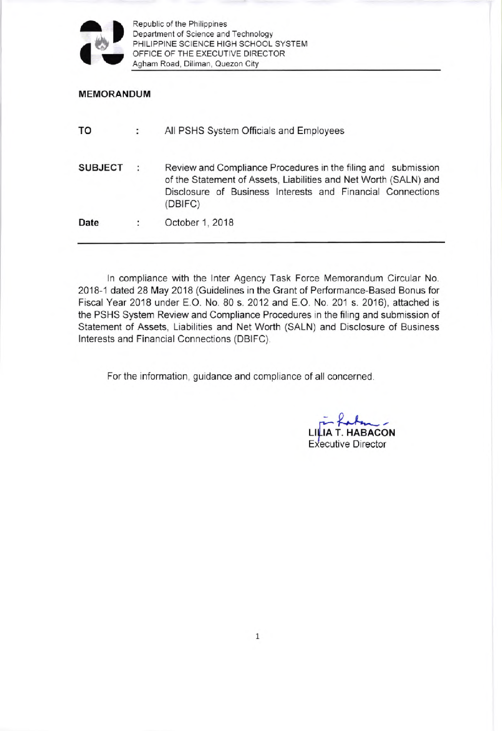

Republic of the Philippines Department of Science and Technology PHILIPPINE SCIENCE HIGH SCHOOL SYSTEM OFFICE OF THE EXECUTIVE DIRECTOR Agham Road, Diliman, Quezon City

#### MEMORANDUM

| TO             |   | All PSHS System Officials and Employees                                                                                                                                                                    |  |
|----------------|---|------------------------------------------------------------------------------------------------------------------------------------------------------------------------------------------------------------|--|
| <b>SUBJECT</b> | ÷ | Review and Compliance Procedures in the filing and submission<br>of the Statement of Assets, Liabilities and Net Worth (SALN) and<br>Disclosure of Business Interests and Financial Connections<br>(DBIFC) |  |
| Date           | ÷ | October 1, 2018                                                                                                                                                                                            |  |

ln compliance with the lnter Agency Task Force Memorandum Circular No. 2018-1 dated 28 May 2018 (Guidelines in the Grant of Performance-Based Bonus for Fiscal Year 2018 under E.O. No. 80 s. 2012 and E.O. No. 201 s. 2016), attached is the PSHS System Review and Compliance Procedures in the filing and submission of Statement of Assets, Liabilities and Net Worth (SALN) and Disclosure of Business lnterests and Financial Connections (DBIFC).

For the information, guidance and compliance of all concerned

 $LILIA$  T. HABACON Executive Director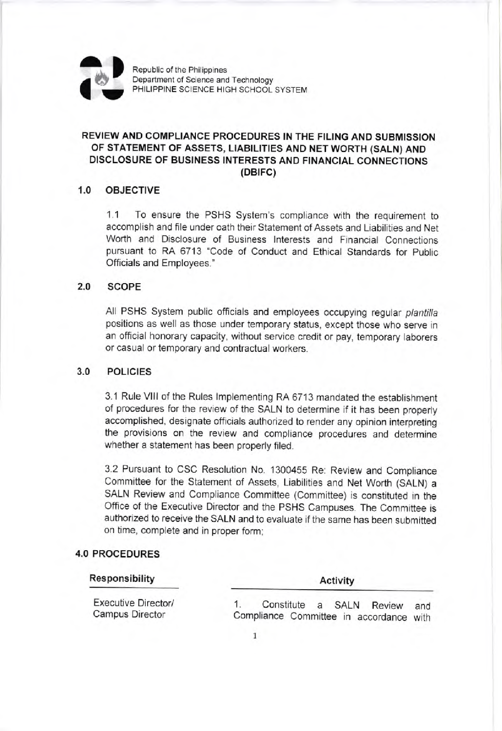

Republic of the Philippines Department of Science and Technology PHILIPPINE SCIENCE HIGH SCHOOL SYSTEM

# REVIEW AND COMPLIANCE PROCEDURES IN THE FILING AND SUBMISSION OF STATEMENT OF ASSETS, LIABILITIES AND NET WORTH (SALN) AND DISCLOSURE OF BUSINESS INTERESTS AND FINANCIAL CONNECTIONS (DBtFC)

## 1.0 OBJECTIVE

1.1 To ensure the PSHS System's compliance with the requirement to accomplish and file under oath their Statement of Assets and Liabilities and Net Worth and Disclosure of Business lnterests and Financial Connections pursuant to RA 6713 "Code of Conduct and Ethical Standards for Public Officials and Employees."

#### 2.0 scoPE

All PSHS System public officials and employees occupying regular plantilla positions as well as those under temporary status, except those who serve in an official honorary capacity, without service credit or pay, temporary laborers or casual or temporary and contractual workers.

#### 3.0 POL|C|ES

3.1 Rule Vlll of the Rules lmplementing RA 67'13 mandated the establishment of procedures for the review of the SALN to determine if it has been properly accomplished, designate officials authorized to render any opinion interpreting the provisions on the review and compliance procedures and determine whether a statement has been properly filed.

3.2 Pursuant to CSC Resolution No. 1300455 Re: Review and Compliance Committee for the Statement of Assets, Liabilities and Net Worth (SALN) <sup>a</sup> SALN Review and Compliance Committee (Committee) is constituted in the Office of the Executive Director and the PSHS Campuses. The Committee is authorized to receive the SALN and to evaluate if the same has been submitted on time, complete and in proper form;

### 4.0 PROCEDURES

| Responsibility                                       | Activity                                                                   |  |  |
|------------------------------------------------------|----------------------------------------------------------------------------|--|--|
| <b>Executive Director/</b><br><b>Campus Director</b> | Constitute a SALN Review<br>and<br>Compliance Committee in accordance with |  |  |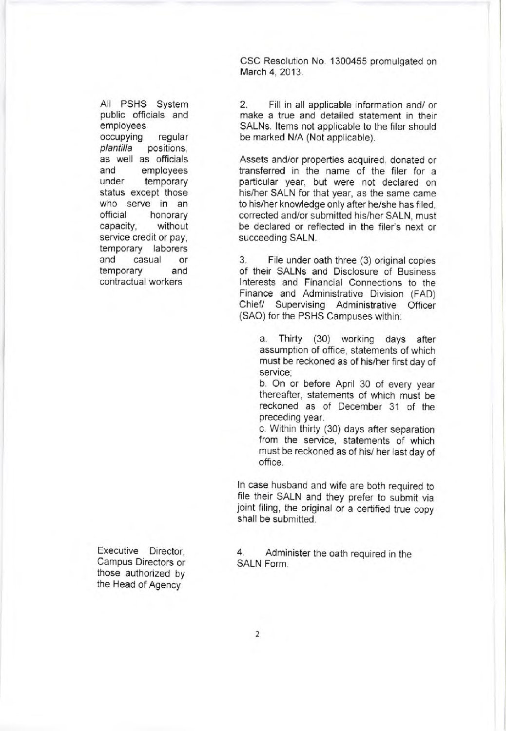CSC Resolution No. 1300455 promulgated on March 4, 2013.

All PSHS System public officials and employees occupying regular plantilla positions, as well as officials and employees<br>under temporary temporary status except those who serve in an<br>official honorary capacity, without service credit or pay, temporary laborers and casual or temporary and contractual workers

2. Fill in all applicable information and/ or make a true and detailed statement in their SALNs. ltems not applicable to the filer should be marked N/A (Not applicable).

Assets and/or properties acquired, donated or transferred in the name of the filer for <sup>a</sup> particular year, but were not declared on his/her SALN for that year, as the same came to his/her knowledge only after he/she has filed, corrected and/or submitted his/her SALN, must be declared or reflected in the filer's next or succeeding SALN.

3. File under oath three (3) original copies of their SALNs and Disclosure of Business lnterests and Financial Connections to the Finance and Administrative Division (FAD) Chief/ Supervising Administrative Officer (SAO) for the PSHS Campuses within:

a. Thirty (30) working days after assumption of office, statements of which must be reckoned as of his/her first day of service;

b. On or before April 30 of every year thereafter, statements of which must be reckoned as of December 31 of the preceding year.

c. Within thirty (30) days after separation from the service, statements of which must be reckoned as of his/ her last day of office.

ln case husband and wife are both required to file their SALN and they prefer to submit via joint filing, the original or a certified true copy shall be submitted.

Executive Director, Campus Directors or those authorized by the Head of Agency

4. Administer the oath required in the SALN Form.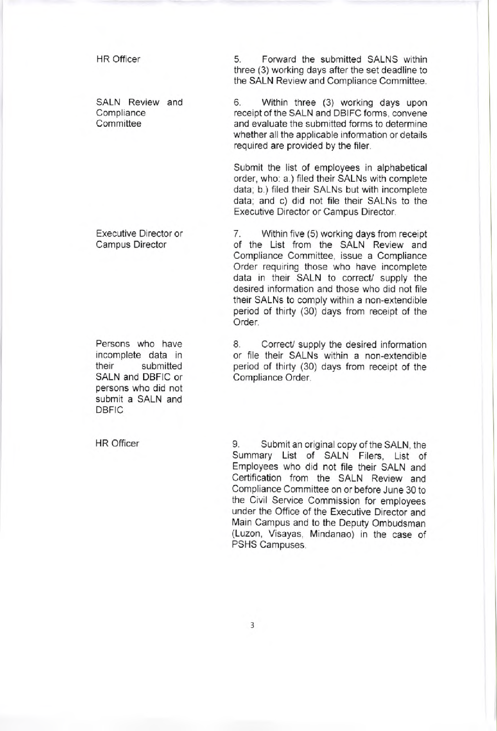HR Officer

SALN Review and **Compliance Committee** 

Executive Director or Campus Director

Persons who have incomplete data in their submitted SALN and DBFIC or persons who did not submit a SALN and **DBFIC** 

<sup>H</sup>R Officer

5 Forward the submitted SALNS within three (3) working days after the set deadline to the SALN Review and Compliance Committee.

6. Within three (3) working days upon receipt of the SALN and DBIFC forms, convene and evaluate the submitted forms to determine whether all the applicable information or details required are provided by the filer.

Submit the list of employees in alphabetical order, who: a.) filed their SALNs with complete data; b.) filed their SALNs but with incomplete data; and c) did not file their SALNs to the Executive Director or Campus Director.

7. Within five (5) working days from receipt of the List from the SALN Review and Compliance Committee, issue a Compliance Order requiring those who have incomplete data in their SALN to correct/ supply the desired information and those who did not file their SALNs to comply within a non-extendible period of thirty (30) days from receipt of the Order.

8. Correct/ supply the desired information or file their SALNs within a non-extendible period of thirty (30) days from receipt of the Compliance Order.

9. Submit an original copy of the SALN, the Summary List of SALN Filers, List of Employees who did not file their SALN and Certification from the SALN Review and Compliance Committee on or before June 30 to the Civil Service Commission for employees under the Office of the Executive Director and Main Campus and to the Deputy Ombudsman (Luzon, Visayas, Mindanao) in the case of PSHS Campuses.